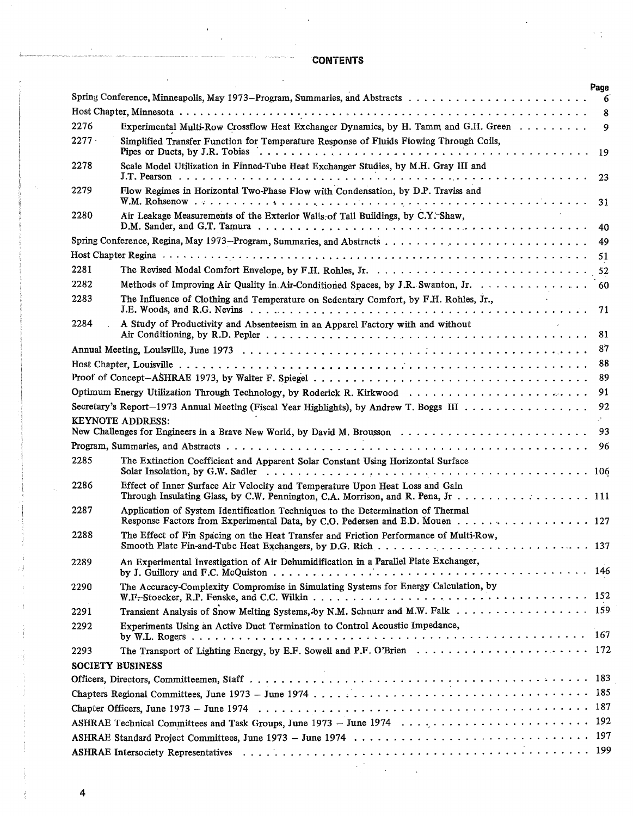## **CONTENTS**

|                         |                                                                                                                                                                                                                         | Page   |  |  |  |  |  |  |
|-------------------------|-------------------------------------------------------------------------------------------------------------------------------------------------------------------------------------------------------------------------|--------|--|--|--|--|--|--|
| 6                       |                                                                                                                                                                                                                         |        |  |  |  |  |  |  |
| 2276                    | Experimental Multi-Row Crossflow Heat Exchanger Dynamics, by H. Tamm and G.H. Green                                                                                                                                     | 8<br>9 |  |  |  |  |  |  |
| $2277 -$                |                                                                                                                                                                                                                         |        |  |  |  |  |  |  |
|                         | Simplified Transfer Function for Temperature Response of Fluids Flowing Through Coils,                                                                                                                                  | 19     |  |  |  |  |  |  |
| 2278                    | Scale Model Utilization in Finned-Tube Heat Exchanger Studies, by M.H. Gray III and                                                                                                                                     | 23     |  |  |  |  |  |  |
| 2279                    | Flow Regimes in Horizontal Two-Phase Flow with Condensation, by D.P. Traviss and                                                                                                                                        | 31     |  |  |  |  |  |  |
| 2280                    | Air Leakage Measurements of the Exterior Walls of Tall Buildings, by C.Y. Shaw,<br>D.M. Sander, and G.T. Tamura $\dots \dots \dots \dots \dots \dots \dots \dots \dots \dots \dots \dots \dots \dots \dots \dots \dots$ | 40     |  |  |  |  |  |  |
|                         | 49                                                                                                                                                                                                                      |        |  |  |  |  |  |  |
|                         |                                                                                                                                                                                                                         | 51     |  |  |  |  |  |  |
| 2281                    |                                                                                                                                                                                                                         |        |  |  |  |  |  |  |
| 2282                    | Methods of Improving Air Quality in Air-Conditioned Spaces, by J.R. Swanton, Jr. 60                                                                                                                                     |        |  |  |  |  |  |  |
| 2283                    | The Influence of Clothing and Temperature on Sedentary Comfort, by F.H. Rohles, Jr.,                                                                                                                                    |        |  |  |  |  |  |  |
|                         |                                                                                                                                                                                                                         | 71     |  |  |  |  |  |  |
| 2284                    | A Study of Productivity and Absenteeism in an Apparel Factory with and without                                                                                                                                          |        |  |  |  |  |  |  |
|                         |                                                                                                                                                                                                                         | 81     |  |  |  |  |  |  |
|                         |                                                                                                                                                                                                                         | 87     |  |  |  |  |  |  |
|                         |                                                                                                                                                                                                                         | 88     |  |  |  |  |  |  |
|                         |                                                                                                                                                                                                                         | 89     |  |  |  |  |  |  |
|                         |                                                                                                                                                                                                                         | 91     |  |  |  |  |  |  |
|                         | Secretary's Report-1973 Annual Meeting (Fiscal Year Highlights), by Andrew T. Boggs III                                                                                                                                 | 92     |  |  |  |  |  |  |
|                         | <b>KEYNOTE ADDRESS:</b>                                                                                                                                                                                                 | 93     |  |  |  |  |  |  |
|                         |                                                                                                                                                                                                                         | 96     |  |  |  |  |  |  |
| 2285                    | The Extinction Coefficient and Apparent Solar Constant Using Horizontal Surface                                                                                                                                         |        |  |  |  |  |  |  |
|                         |                                                                                                                                                                                                                         |        |  |  |  |  |  |  |
| 2286                    | Effect of Inner Surface Air Velocity and Temperature Upon Heat Loss and Gain                                                                                                                                            |        |  |  |  |  |  |  |
| 2287                    | Application of System Identification Techniques to the Determination of Thermal<br>Response Factors from Experimental Data, by C.O. Pedersen and E.D. Mouen 127                                                         |        |  |  |  |  |  |  |
| 2288                    | The Effect of Fin Spacing on the Heat Transfer and Friction Performance of Multi-Row,                                                                                                                                   |        |  |  |  |  |  |  |
| 2289                    | An Experimental Investigation of Air Dehumidification in a Parallel Plate Exchanger,                                                                                                                                    |        |  |  |  |  |  |  |
| 2290                    | The Accuracy-Complexity Compromise in Simulating Systems for Energy Calculation, by                                                                                                                                     |        |  |  |  |  |  |  |
|                         |                                                                                                                                                                                                                         |        |  |  |  |  |  |  |
| 2291                    | Transient Analysis of Snow Melting Systems, by N.M. Schnurr and M.W. Falk 159                                                                                                                                           |        |  |  |  |  |  |  |
| 2292                    | Experiments Using an Active Duct Termination to Control Acoustic Impedance,                                                                                                                                             |        |  |  |  |  |  |  |
| 2293                    |                                                                                                                                                                                                                         |        |  |  |  |  |  |  |
| <b>SOCIETY BUSINESS</b> |                                                                                                                                                                                                                         |        |  |  |  |  |  |  |
|                         |                                                                                                                                                                                                                         |        |  |  |  |  |  |  |
|                         |                                                                                                                                                                                                                         |        |  |  |  |  |  |  |
|                         |                                                                                                                                                                                                                         |        |  |  |  |  |  |  |
|                         |                                                                                                                                                                                                                         |        |  |  |  |  |  |  |
|                         |                                                                                                                                                                                                                         |        |  |  |  |  |  |  |
|                         |                                                                                                                                                                                                                         |        |  |  |  |  |  |  |
|                         |                                                                                                                                                                                                                         |        |  |  |  |  |  |  |

4